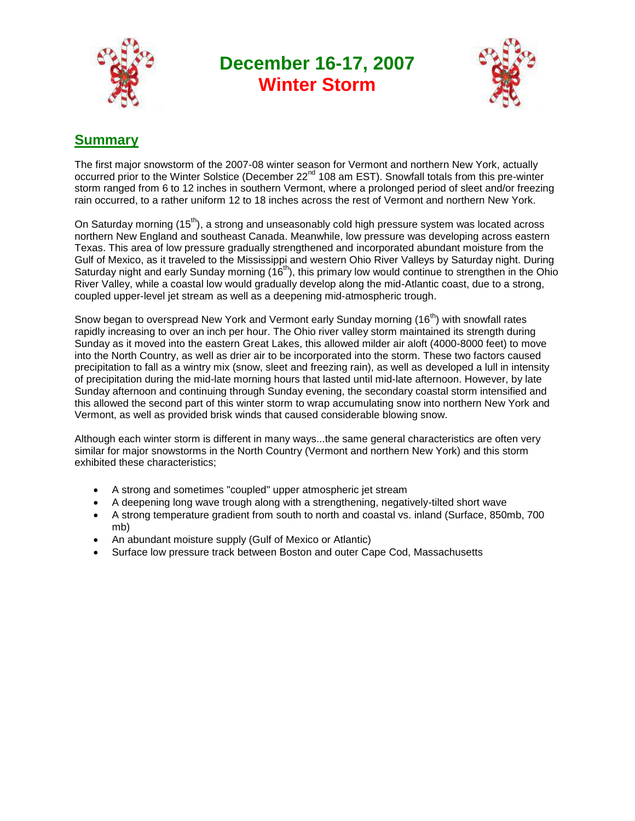

**December 16-17, 2007 Winter Storm**



# **Summary**

The first major snowstorm of the 2007-08 winter season for Vermont and northern New York, actually occurred prior to the Winter Solstice (December 22<sup>nd</sup> 108 am EST). Snowfall totals from this pre-winter storm ranged from 6 to 12 inches in southern Vermont, where a prolonged period of sleet and/or freezing rain occurred, to a rather uniform 12 to 18 inches across the rest of Vermont and northern New York.

On Saturday morning (15<sup>th</sup>), a strong and unseasonably cold high pressure system was located across northern New England and southeast Canada. Meanwhile, low pressure was developing across eastern Texas. This area of low pressure gradually strengthened and incorporated abundant moisture from the Gulf of Mexico, as it traveled to the Mississippi and western Ohio River Valleys by Saturday night. During Saturday night and early Sunday morning (16<sup>th</sup>), this primary low would continue to strengthen in the Ohio River Valley, while a coastal low would gradually develop along the mid-Atlantic coast, due to a strong, coupled upper-level jet stream as well as a deepening mid-atmospheric trough.

Snow began to overspread New York and Vermont early Sunday morning (16<sup>th</sup>) with snowfall rates rapidly increasing to over an inch per hour. The Ohio river valley storm maintained its strength during Sunday as it moved into the eastern Great Lakes, this allowed milder air aloft (4000-8000 feet) to move into the North Country, as well as drier air to be incorporated into the storm. These two factors caused precipitation to fall as a wintry mix (snow, sleet and freezing rain), as well as developed a lull in intensity of precipitation during the mid-late morning hours that lasted until mid-late afternoon. However, by late Sunday afternoon and continuing through Sunday evening, the secondary coastal storm intensified and this allowed the second part of this winter storm to wrap accumulating snow into northern New York and Vermont, as well as provided brisk winds that caused considerable blowing snow.

Although each winter storm is different in many ways...the same general characteristics are often very similar for major snowstorms in the North Country (Vermont and northern New York) and this storm exhibited these characteristics;

- A strong and sometimes "coupled" upper atmospheric jet stream
- A deepening long wave trough along with a strengthening, negatively-tilted short wave
- A strong temperature gradient from south to north and coastal vs. inland (Surface, 850mb, 700 mb)
- An abundant moisture supply (Gulf of Mexico or Atlantic)
- Surface low pressure track between Boston and outer Cape Cod, Massachusetts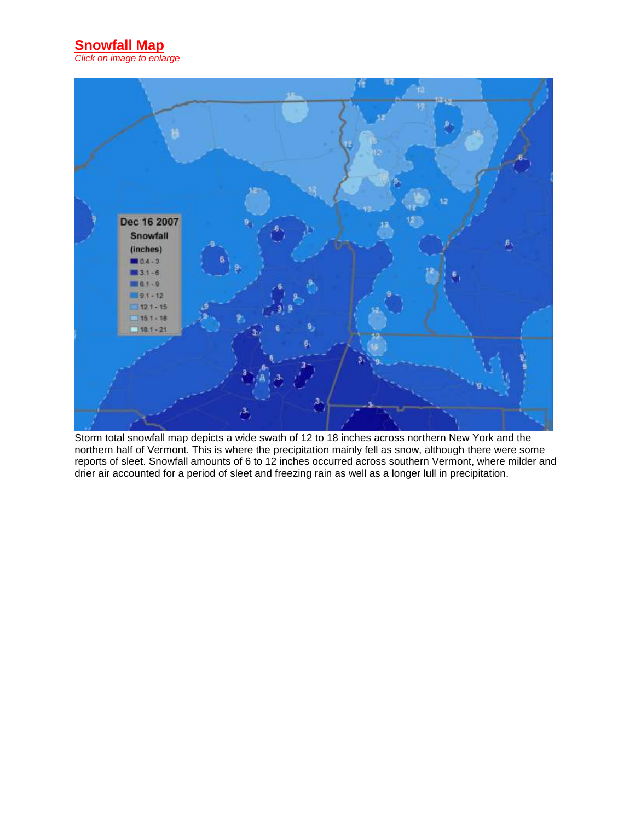**Snowfall Map** *Click on image to enlarge*



Storm total snowfall map depicts a wide swath of 12 to 18 inches across northern New York and the northern half of Vermont. This is where the precipitation mainly fell as snow, although there were some reports of sleet. Snowfall amounts of 6 to 12 inches occurred across southern Vermont, where milder and drier air accounted for a period of sleet and freezing rain as well as a longer lull in precipitation.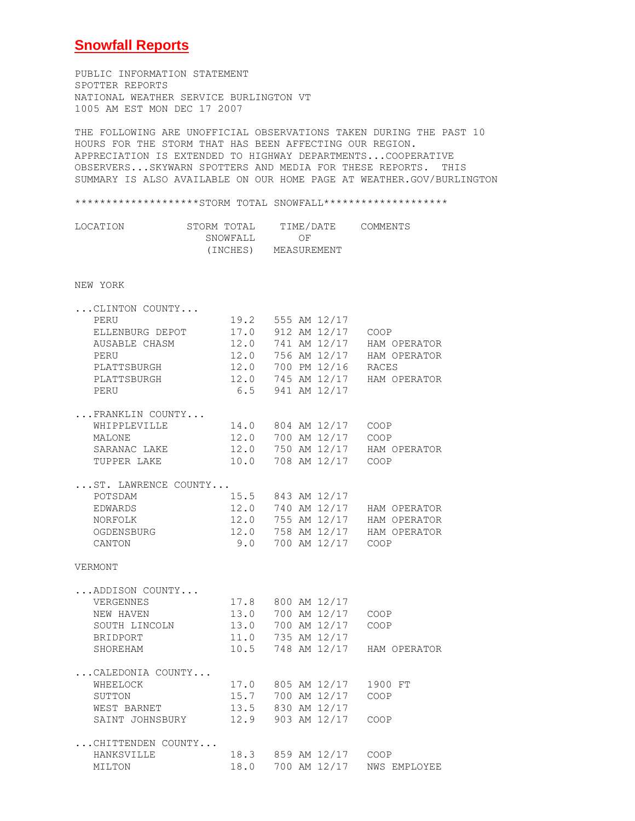#### **Snowfall Reports**

PUBLIC INFORMATION STATEMENT SPOTTER REPORTS NATIONAL WEATHER SERVICE BURLINGTON VT 1005 AM EST MON DEC 17 2007

THE FOLLOWING ARE UNOFFICIAL OBSERVATIONS TAKEN DURING THE PAST 10 HOURS FOR THE STORM THAT HAS BEEN AFFECTING OUR REGION. APPRECIATION IS EXTENDED TO HIGHWAY DEPARTMENTS...COOPERATIVE OBSERVERS...SKYWARN SPOTTERS AND MEDIA FOR THESE REPORTS. THIS SUMMARY IS ALSO AVAILABLE ON OUR HOME PAGE AT WEATHER.GOV/BURLINGTON

#### \*\*\*\*\*\*\*\*\*\*\*\*\*\*\*\*\*\*\*STORM TOTAL SNOWFALL\*\*\*\*\*\*\*\*\*\*\*\*\*\*\*\*\*\*\*\*

| LOCATION | STORM TOTAL | TIME/DATE   | COMMENTS |
|----------|-------------|-------------|----------|
|          | SNOWFALL    | OF          |          |
|          | (INCHES)    | MEASUREMENT |          |

#### NEW YORK

| CLINTON COUNTY                               |                        |  |                        |                                |
|----------------------------------------------|------------------------|--|------------------------|--------------------------------|
| PERU                                         |                        |  | 19.2 555 AM 12/17      |                                |
| ELLENBURG DEPOT                              |                        |  |                        | 17.0 912 AM 12/17 COOP         |
| AUSABLE CHASM 12.0 741 AM 12/17 HAM OPERATOR |                        |  |                        |                                |
| PERU                                         |                        |  |                        | 12.0 756 AM 12/17 HAM OPERATOR |
| PLATTSBURGH                                  |                        |  |                        | 12.0 700 PM 12/16 RACES        |
| PLATTSBURGH                                  |                        |  |                        | 12.0 745 AM 12/17 HAM OPERATOR |
| PERU                                         |                        |  | 6.5 941 AM 12/17       |                                |
| $\ldots$ FRANKLIN COUNTY                     |                        |  |                        |                                |
| WHIPPLEVILLE                                 |                        |  | 14.0 804 AM 12/17 COOP |                                |
| MALONE                                       |                        |  |                        | 12.0 700 AM 12/17 COOP         |
| SARANAC LAKE                                 |                        |  |                        | 12.0 750 AM 12/17 HAM OPERATOR |
| TUPPER LAKE                                  | 10.0 708 AM 12/17 COOP |  |                        |                                |
| ST. LAWRENCE COUNTY                          |                        |  |                        |                                |
| POTSDAM                                      |                        |  | 15.5 843 AM 12/17      |                                |
| EDWARDS                                      |                        |  |                        | 12.0 740 AM 12/17 HAM OPERATOR |
| NORFOLK                                      |                        |  |                        | 12.0 755 AM 12/17 HAM OPERATOR |
| OGDENSBURG                                   |                        |  |                        | 12.0 758 AM 12/17 HAM OPERATOR |
| CANTON                                       |                        |  |                        | 9.0 700 AM 12/17 COOP          |
| VERMONT                                      |                        |  |                        |                                |
| ADDISON COUNTY                               |                        |  |                        |                                |
| VERGENNES                                    |                        |  | 17.8 800 AM 12/17      |                                |
| NEW HAVEN                                    |                        |  | 13.0 700 AM 12/17 COOP |                                |
| SOUTH LINCOLN                                |                        |  | 13.0 700 AM 12/17 COOP |                                |
| BRIDPORT                                     |                        |  | 11.0 735 AM 12/17      |                                |
| SHOREHAM                                     |                        |  |                        | 10.5 748 AM 12/17 HAM OPERATOR |
| CALEDONIA COUNTY                             |                        |  |                        |                                |
| WHEELOCK                                     |                        |  |                        | 17.0 805 AM 12/17 1900 FT      |
| SUTTON                                       |                        |  | 15.7 700 AM 12/17      | COOP                           |
| WEST BARNET                                  | 13.5 830 AM 12/17      |  |                        |                                |
| SAINT JOHNSBURY 12.9 903 AM 12/17            |                        |  |                        | COOP                           |
| CHITTENDEN COUNTY                            |                        |  |                        |                                |
| HANKSVILLE                                   |                        |  |                        | 18.3 859 AM 12/17 COOP         |
| MILTON                                       | 18.0                   |  |                        | 700 AM 12/17 NWS EMPLOYEE      |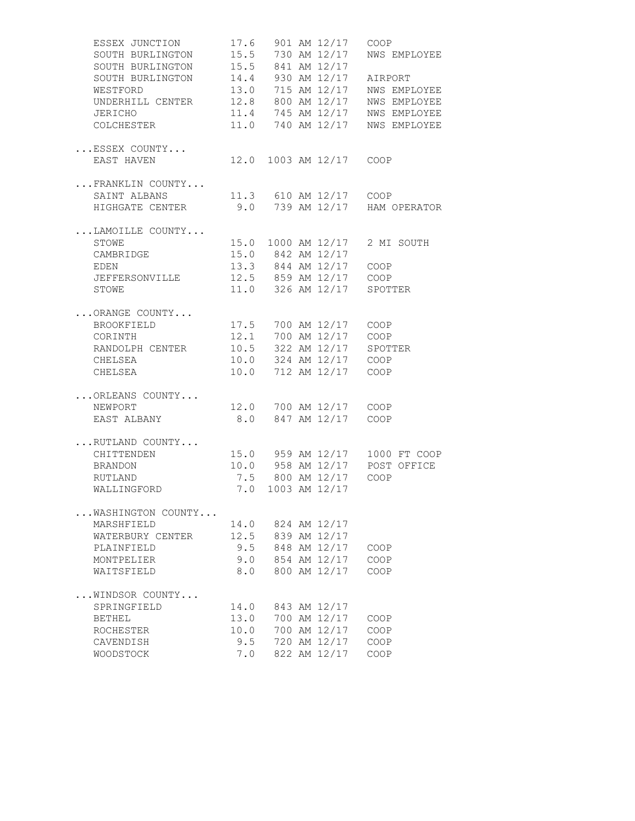| ESSEX JUNCTION                                  |      |  | 17.6 901 AM 12/17 COOP  |                                                                                                               |
|-------------------------------------------------|------|--|-------------------------|---------------------------------------------------------------------------------------------------------------|
| SOUTH BURLINGTON                                |      |  |                         | 15.5 730 AM 12/17 NWS EMPLOYEE                                                                                |
| SOUTH BURLINGTON 15.5 841 AM 12/17              |      |  |                         |                                                                                                               |
| SOUTH BURLINGTON 14.4 930 AM 12/17 AIRPORT      |      |  |                         |                                                                                                               |
| WESTFORD                                        |      |  |                         | 13.0 715 AM 12/17 NWS EMPLOYEE                                                                                |
| UNDERHILL CENTER 12.8 800 AM 12/17 NWS EMPLOYEE |      |  |                         |                                                                                                               |
| JERICHO                                         |      |  |                         | 11.4 745 AM 12/17 NWS EMPLOYEE                                                                                |
| COLCHESTER                                      |      |  |                         | 11.0 740 AM 12/17 NWS EMPLOYEE                                                                                |
|                                                 |      |  |                         |                                                                                                               |
| $\ldots$ ESSEX COUNTY                           |      |  |                         |                                                                                                               |
| EAST HAVEN                                      |      |  | 12.0 1003 AM 12/17 COOP |                                                                                                               |
|                                                 |      |  |                         |                                                                                                               |
| FRANKLIN COUNTY                                 |      |  |                         |                                                                                                               |
| SAINT ALBANS                                    |      |  | 11.3 610 AM 12/17 COOP  |                                                                                                               |
| HIGHGATE CENTER                                 |      |  |                         | 9.0 739 AM 12/17 HAM OPERATOR                                                                                 |
|                                                 |      |  |                         |                                                                                                               |
| LAMOILLE COUNTY                                 |      |  |                         |                                                                                                               |
| <b>STOWE</b>                                    |      |  |                         | 15.0 1000 AM 12/17 2 MI SOUTH                                                                                 |
| CAMBRIDGE                                       |      |  | 15.0 842 AM 12/17       |                                                                                                               |
| <b>EDEN</b>                                     |      |  | 13.3 844 AM 12/17 COOP  |                                                                                                               |
| JEFFERSONVILLE                                  |      |  | 12.5 859 AM 12/17 COOP  |                                                                                                               |
| STOWE                                           |      |  |                         | 11.0 326 AM 12/17 SPOTTER                                                                                     |
|                                                 |      |  |                         |                                                                                                               |
| ORANGE COUNTY                                   |      |  |                         |                                                                                                               |
| BROOKFIELD                                      |      |  | 17.5 700 AM 12/17 COOP  |                                                                                                               |
| CORINTH                                         |      |  |                         |                                                                                                               |
| RANDOLPH CENTER                                 |      |  |                         | 12.1 700 AM 12/17 COOP<br>10.5 322 AM 12/17 SPOTTER<br>10.0 324 AM 12/17 COOP<br>10.0 712 AM 12/17 COOP       |
| CHELSEA                                         |      |  |                         |                                                                                                               |
| CHELSEA                                         |      |  |                         |                                                                                                               |
|                                                 |      |  |                         |                                                                                                               |
| ORLEANS COUNTY                                  |      |  |                         |                                                                                                               |
| NEWPORT                                         |      |  | 12.0 700 AM 12/17 COOP  |                                                                                                               |
| EAST ALBANY                                     |      |  | 8.0 847 AM 12/17 COOP   |                                                                                                               |
|                                                 |      |  |                         |                                                                                                               |
| RUTLAND COUNTY                                  |      |  |                         |                                                                                                               |
| CHITTENDEN                                      |      |  |                         |                                                                                                               |
| BRANDON                                         |      |  |                         |                                                                                                               |
| RUTLAND                                         |      |  |                         |                                                                                                               |
| WALLINGFORD                                     |      |  |                         | 15.0 959 AM 12/17 1000 FT COOP<br>10.0 958 AM 12/17 POST OFFICE<br>7.5 800 AM 12/17 COOP<br>7.0 1003 AM 12/17 |
|                                                 |      |  |                         |                                                                                                               |
| WASHINGTON COUNTY                               |      |  |                         |                                                                                                               |
| MARSHFIELD                                      | 14.0 |  | 824 AM 12/17            |                                                                                                               |
| WATERBURY CENTER                                | 12.5 |  | 839 AM 12/17            |                                                                                                               |
| PLAINFIELD                                      | 9.5  |  | 848 AM 12/17            | COOP                                                                                                          |
| MONTPELIER                                      | 9.0  |  | 854 AM 12/17            | COOP                                                                                                          |
|                                                 | 8.0  |  | 800 AM 12/17            |                                                                                                               |
| WAITSFIELD                                      |      |  |                         | COOP                                                                                                          |
| WINDSOR COUNTY                                  |      |  |                         |                                                                                                               |
| SPRINGFIELD                                     | 14.0 |  | 843 AM 12/17            |                                                                                                               |
| <b>BETHEL</b>                                   | 13.0 |  | 700 AM 12/17            | COOP                                                                                                          |
| ROCHESTER                                       | 10.0 |  | 700 AM 12/17            | COOP                                                                                                          |
|                                                 |      |  | 720 AM 12/17            |                                                                                                               |
| CAVENDISH                                       | 9.5  |  |                         | COOP                                                                                                          |
| WOODSTOCK                                       | 7.0  |  | 822 AM 12/17            | COOP                                                                                                          |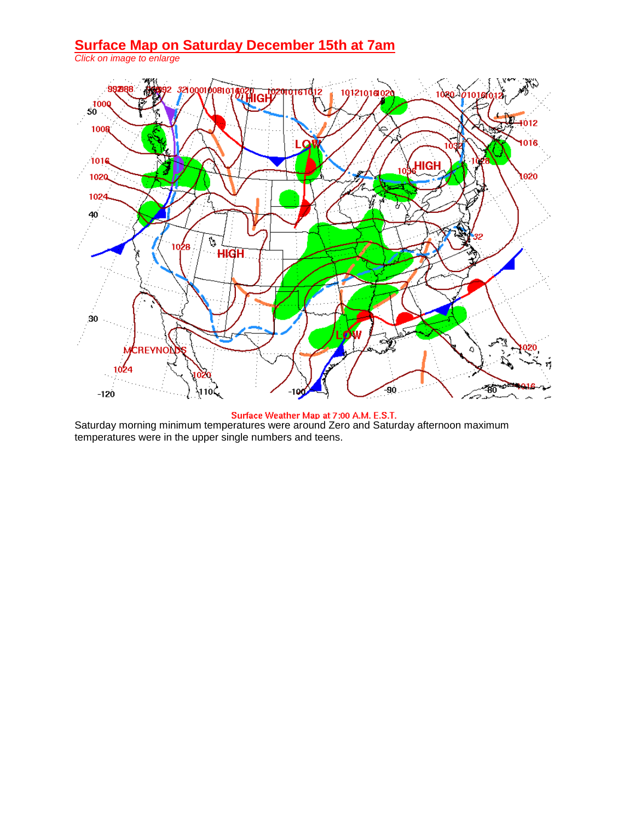#### **Surface Map on Saturday December 15th at 7am**

*Click on image to enlarge*



Saturday morning minimum temperatures were around Zero and Saturday afternoon maximum temperatures were in the upper single numbers and teens.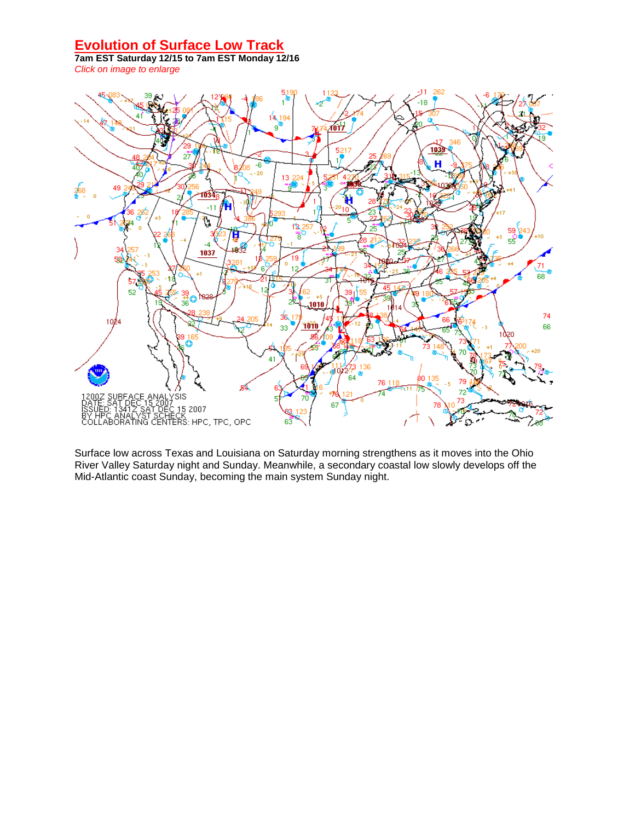## **Evolution of Surface Low Track**

**7am EST Saturday 12/15 to 7am EST Monday 12/16** *Click on image to enlarge*



Surface low across Texas and Louisiana on Saturday morning strengthens as it moves into the Ohio River Valley Saturday night and Sunday. Meanwhile, a secondary coastal low slowly develops off the Mid-Atlantic coast Sunday, becoming the main system Sunday night.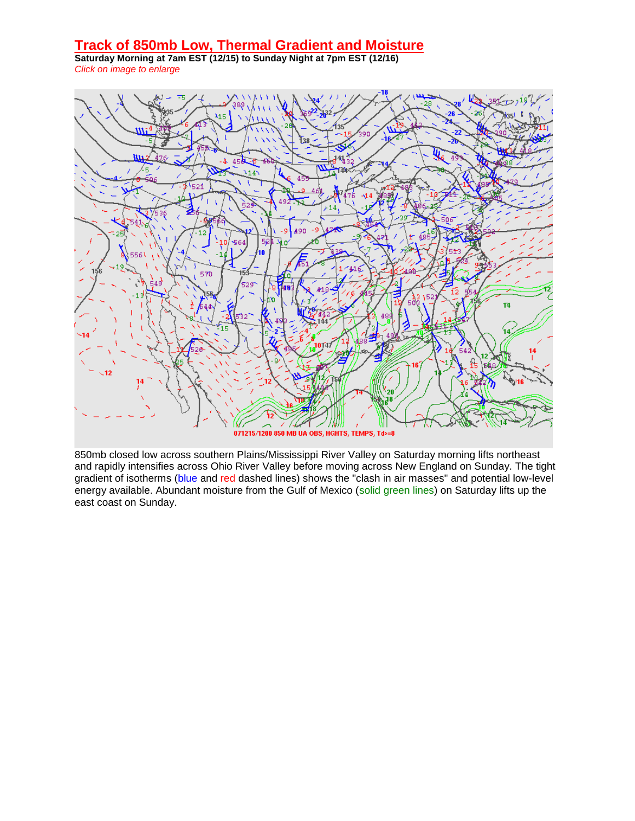#### **Track of 850mb Low, Thermal Gradient and Moisture**

**Saturday Morning at 7am EST (12/15) to Sunday Night at 7pm EST (12/16)** *Click on image to enlarge*



850mb closed low across southern Plains/Mississippi River Valley on Saturday morning lifts northeast and rapidly intensifies across Ohio River Valley before moving across New England on Sunday. The tight gradient of isotherms (blue and red dashed lines) shows the "clash in air masses" and potential low-level energy available. Abundant moisture from the Gulf of Mexico (solid green lines) on Saturday lifts up the east coast on Sunday.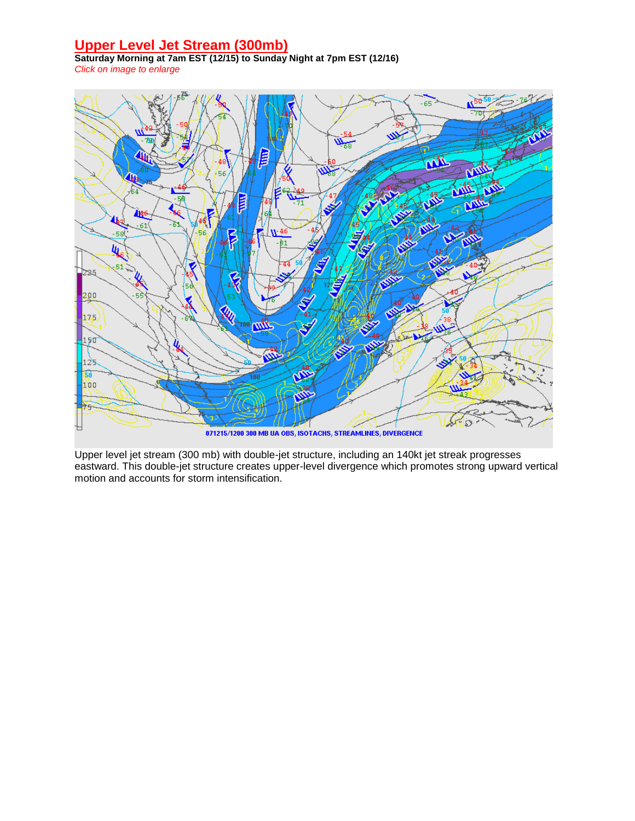## **Upper Level Jet Stream (300mb)**

**Saturday Morning at 7am EST (12/15) to Sunday Night at 7pm EST (12/16)** *Click on image to enlarge*



Upper level jet stream (300 mb) with double-jet structure, including an 140kt jet streak progresses eastward. This double-jet structure creates upper-level divergence which promotes strong upward vertical motion and accounts for storm intensification.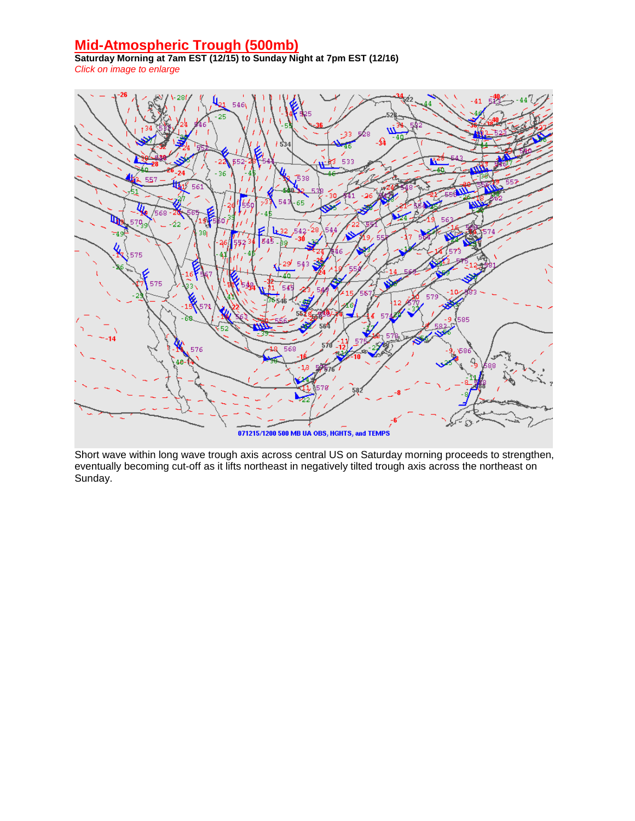## **Mid-Atmospheric Trough (500mb)**

**Saturday Morning at 7am EST (12/15) to Sunday Night at 7pm EST (12/16)** *Click on image to enlarge*



Short wave within long wave trough axis across central US on Saturday morning proceeds to strengthen, eventually becoming cut-off as it lifts northeast in negatively tilted trough axis across the northeast on Sunday.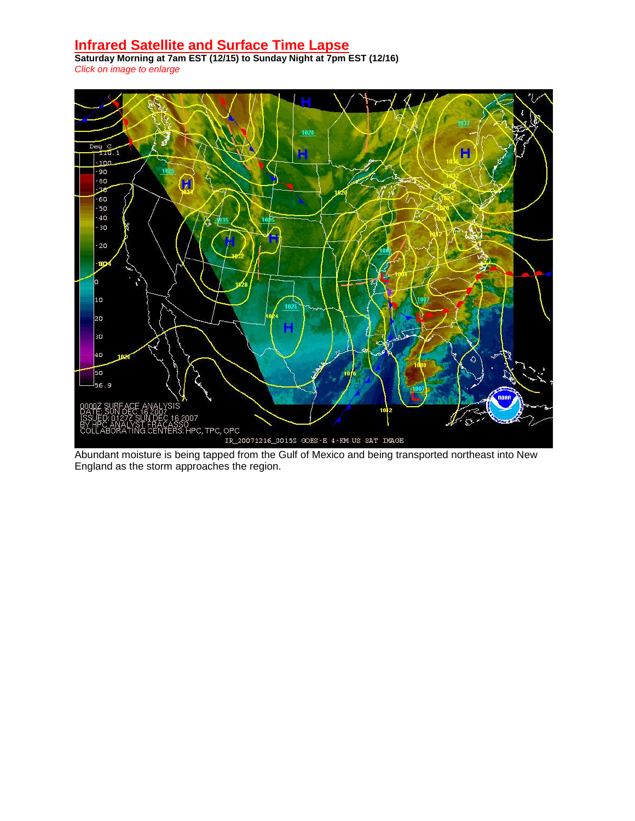#### **Infrared Satellite and Surface Time Lapse**

**Saturday Morning at 7am EST (12/15) to Sunday Night at 7pm EST (12/16)** *Click on image to enlarge*



Abundant moisture is being tapped from the Gulf of Mexico and being transported northeast into New England as the storm approaches the region.